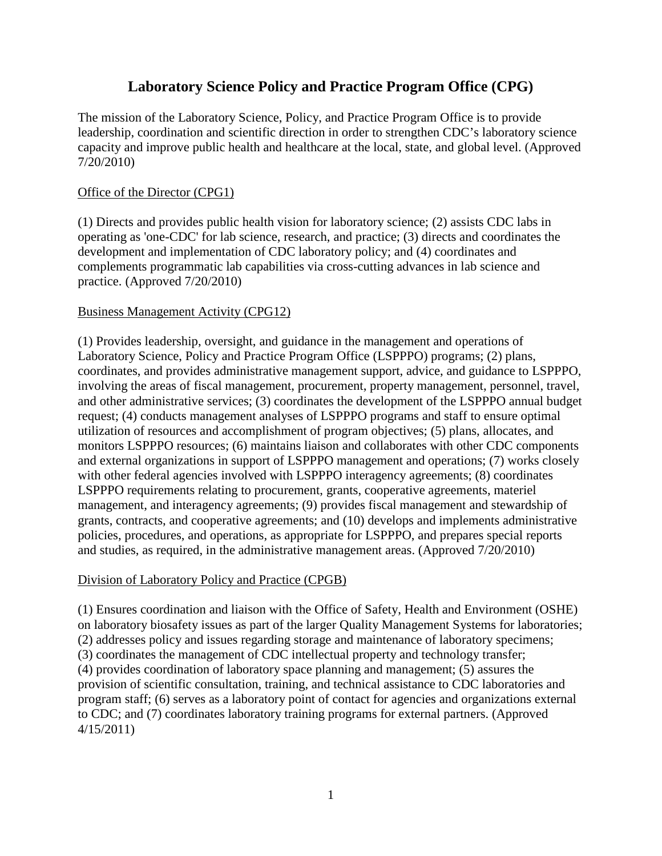# **Laboratory Science Policy and Practice Program Office (CPG)**

The mission of the Laboratory Science, Policy, and Practice Program Office is to provide leadership, coordination and scientific direction in order to strengthen CDC's laboratory science capacity and improve public health and healthcare at the local, state, and global level. (Approved 7/20/2010)

### Office of the Director (CPG1)

(1) Directs and provides public health vision for laboratory science; (2) assists CDC labs in operating as 'one-CDC' for lab science, research, and practice; (3) directs and coordinates the development and implementation of CDC laboratory policy; and (4) coordinates and complements programmatic lab capabilities via cross-cutting advances in lab science and practice. (Approved 7/20/2010)

### Business Management Activity (CPG12)

(1) Provides leadership, oversight, and guidance in the management and operations of Laboratory Science, Policy and Practice Program Office (LSPPPO) programs; (2) plans, coordinates, and provides administrative management support, advice, and guidance to LSPPPO, involving the areas of fiscal management, procurement, property management, personnel, travel, and other administrative services; (3) coordinates the development of the LSPPPO annual budget request; (4) conducts management analyses of LSPPPO programs and staff to ensure optimal utilization of resources and accomplishment of program objectives; (5) plans, allocates, and monitors LSPPPO resources; (6) maintains liaison and collaborates with other CDC components and external organizations in support of LSPPPO management and operations; (7) works closely with other federal agencies involved with LSPPPO interagency agreements; (8) coordinates LSPPPO requirements relating to procurement, grants, cooperative agreements, materiel management, and interagency agreements; (9) provides fiscal management and stewardship of grants, contracts, and cooperative agreements; and (10) develops and implements administrative policies, procedures, and operations, as appropriate for LSPPPO, and prepares special reports and studies, as required, in the administrative management areas. (Approved 7/20/2010)

### Division of Laboratory Policy and Practice (CPGB)

(1) Ensures coordination and liaison with the Office of Safety, Health and Environment (OSHE) on laboratory biosafety issues as part of the larger Quality Management Systems for laboratories; (2) addresses policy and issues regarding storage and maintenance of laboratory specimens; (3) coordinates the management of CDC intellectual property and technology transfer; (4) provides coordination of laboratory space planning and management; (5) assures the provision of scientific consultation, training, and technical assistance to CDC laboratories and program staff; (6) serves as a laboratory point of contact for agencies and organizations external to CDC; and (7) coordinates laboratory training programs for external partners. (Approved 4/15/2011)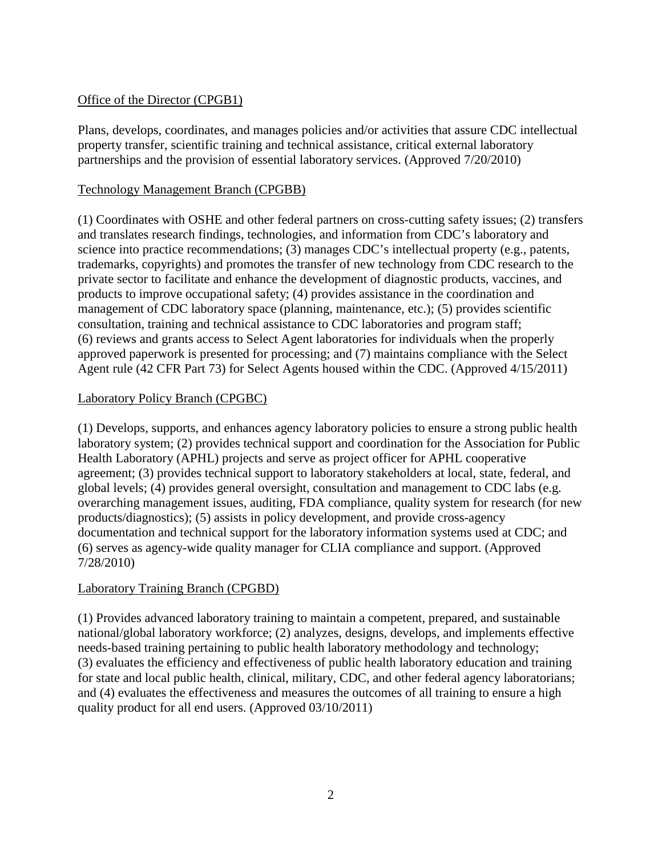### Office of the Director (CPGB1)

Plans, develops, coordinates, and manages policies and/or activities that assure CDC intellectual property transfer, scientific training and technical assistance, critical external laboratory partnerships and the provision of essential laboratory services. (Approved 7/20/2010)

### Technology Management Branch (CPGBB)

(1) Coordinates with OSHE and other federal partners on cross-cutting safety issues; (2) transfers and translates research findings, technologies, and information from CDC's laboratory and science into practice recommendations; (3) manages CDC's intellectual property (e.g., patents, trademarks, copyrights) and promotes the transfer of new technology from CDC research to the private sector to facilitate and enhance the development of diagnostic products, vaccines, and products to improve occupational safety; (4) provides assistance in the coordination and management of CDC laboratory space (planning, maintenance, etc.); (5) provides scientific consultation, training and technical assistance to CDC laboratories and program staff; (6) reviews and grants access to Select Agent laboratories for individuals when the properly approved paperwork is presented for processing; and (7) maintains compliance with the Select Agent rule (42 CFR Part 73) for Select Agents housed within the CDC. (Approved 4/15/2011)

## Laboratory Policy Branch (CPGBC)

(1) Develops, supports, and enhances agency laboratory policies to ensure a strong public health laboratory system; (2) provides technical support and coordination for the Association for Public Health Laboratory (APHL) projects and serve as project officer for APHL cooperative agreement; (3) provides technical support to laboratory stakeholders at local, state, federal, and global levels; (4) provides general oversight, consultation and management to CDC labs (e.g. overarching management issues, auditing, FDA compliance, quality system for research (for new products/diagnostics); (5) assists in policy development, and provide cross-agency documentation and technical support for the laboratory information systems used at CDC; and (6) serves as agency-wide quality manager for CLIA compliance and support. (Approved 7/28/2010)

# Laboratory Training Branch (CPGBD)

(1) Provides advanced laboratory training to maintain a competent, prepared, and sustainable national/global laboratory workforce; (2) analyzes, designs, develops, and implements effective needs-based training pertaining to public health laboratory methodology and technology; (3) evaluates the efficiency and effectiveness of public health laboratory education and training for state and local public health, clinical, military, CDC, and other federal agency laboratorians; and (4) evaluates the effectiveness and measures the outcomes of all training to ensure a high quality product for all end users. (Approved 03/10/2011)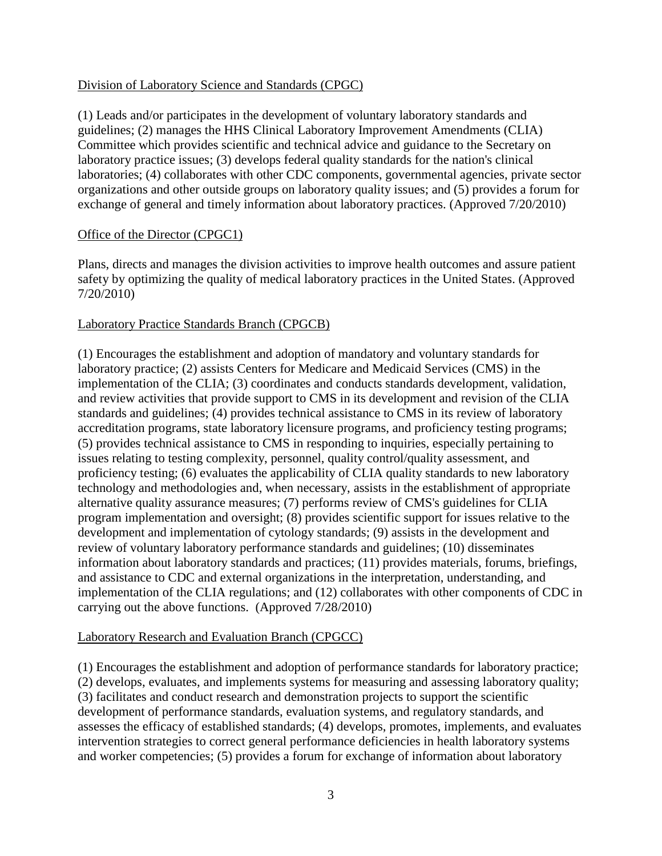### Division of Laboratory Science and Standards (CPGC)

(1) Leads and/or participates in the development of voluntary laboratory standards and guidelines; (2) manages the HHS Clinical Laboratory Improvement Amendments (CLIA) Committee which provides scientific and technical advice and guidance to the Secretary on laboratory practice issues; (3) develops federal quality standards for the nation's clinical laboratories; (4) collaborates with other CDC components, governmental agencies, private sector organizations and other outside groups on laboratory quality issues; and (5) provides a forum for exchange of general and timely information about laboratory practices. (Approved 7/20/2010)

#### Office of the Director (CPGC1)

Plans, directs and manages the division activities to improve health outcomes and assure patient safety by optimizing the quality of medical laboratory practices in the United States. (Approved 7/20/2010)

#### Laboratory Practice Standards Branch (CPGCB)

(1) Encourages the establishment and adoption of mandatory and voluntary standards for laboratory practice; (2) assists Centers for Medicare and Medicaid Services (CMS) in the implementation of the CLIA; (3) coordinates and conducts standards development, validation, and review activities that provide support to CMS in its development and revision of the CLIA standards and guidelines; (4) provides technical assistance to CMS in its review of laboratory accreditation programs, state laboratory licensure programs, and proficiency testing programs; (5) provides technical assistance to CMS in responding to inquiries, especially pertaining to issues relating to testing complexity, personnel, quality control/quality assessment, and proficiency testing; (6) evaluates the applicability of CLIA quality standards to new laboratory technology and methodologies and, when necessary, assists in the establishment of appropriate alternative quality assurance measures; (7) performs review of CMS's guidelines for CLIA program implementation and oversight; (8) provides scientific support for issues relative to the development and implementation of cytology standards; (9) assists in the development and review of voluntary laboratory performance standards and guidelines; (10) disseminates information about laboratory standards and practices; (11) provides materials, forums, briefings, and assistance to CDC and external organizations in the interpretation, understanding, and implementation of the CLIA regulations; and (12) collaborates with other components of CDC in carrying out the above functions. (Approved 7/28/2010)

### Laboratory Research and Evaluation Branch (CPGCC)

(1) Encourages the establishment and adoption of performance standards for laboratory practice; (2) develops, evaluates, and implements systems for measuring and assessing laboratory quality; (3) facilitates and conduct research and demonstration projects to support the scientific development of performance standards, evaluation systems, and regulatory standards, and assesses the efficacy of established standards; (4) develops, promotes, implements, and evaluates intervention strategies to correct general performance deficiencies in health laboratory systems and worker competencies; (5) provides a forum for exchange of information about laboratory